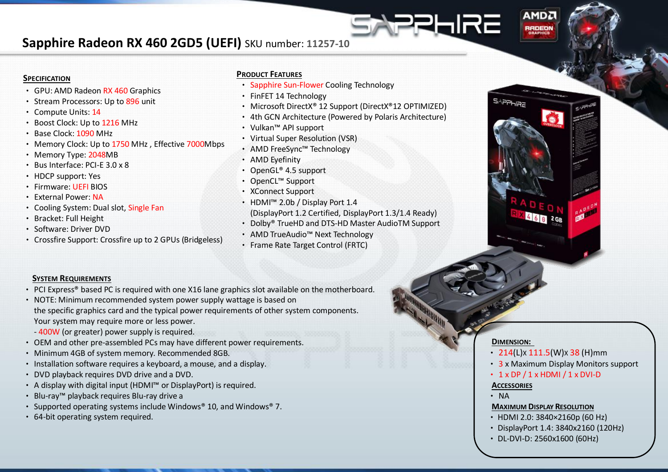## **Sapphire Radeon RX 460 2GD5 (UEFI)** SKU number: **11257-10**

#### **SPECIFICATION**

- GPU: AMD Radeon RX 460 Graphics
- Stream Processors: Up to 896 unit
- Compute Units: 14
- Boost Clock: Up to 1216 MHz
- Base Clock: 1090 MHz
- Memory Clock: Up to 1750 MHz , Effective 7000Mbps
- Memory Type: 2048MB
- Bus Interface: PCI-E 3.0 x 8
- HDCP support: Yes
- Firmware: UEFI BIOS
- External Power: NA
- Cooling System: Dual slot, Single Fan
- Bracket: Full Height
- Software: Driver DVD
- Crossfire Support: Crossfire up to 2 GPUs (Bridgeless)

#### **PRODUCT FEATURES**

- Sapphire Sun-Flower Cooling Technology
- FinFET 14 Technology
- Microsoft DirectX® 12 Support (DirectX®12 OPTIMIZED)
- 4th GCN Architecture (Powered by Polaris Architecture)
- Vulkan™ API support
- Virtual Super Resolution (VSR)
- AMD FreeSync™ Technology
- AMD Eyefinity
- OpenGL® 4.5 support
- OpenCL™ Support
- XConnect Support
- HDMI™ 2.0b / Display Port 1.4 (DisplayPort 1.2 Certified, DisplayPort 1.3/1.4 Ready)
- Dolby® TrueHD and DTS-HD Master AudioTM Support
- AMD TrueAudio™ Next Technology
- Frame Rate Target Control (FRTC)

### **SYSTEM REQUIREMENTS**

- PCI Express® based PC is required with one X16 lane graphics slot available on the motherboard.
- NOTE: Minimum recommended system power supply wattage is based on the specific graphics card and the typical power requirements of other system components. Your system may require more or less power.
	- 400W (or greater) power supply is required.
- OEM and other pre-assembled PCs may have different power requirements.
- Minimum 4GB of system memory. Recommended 8GB.
- Installation software requires a keyboard, a mouse, and a display.
- DVD playback requires DVD drive and a DVD.
- A display with digital input (HDMI™ or DisplayPort) is required.
- Blu-ray™ playback requires Blu-ray drive a
- Supported operating systems include Windows® 10, and Windows® 7.
- 64-bit operating system required.

#### **DIMENSION:**

• 214(L)x 111.5(W)x 38 (H)mm

**AMD<sub>2</sub>** 

**RADEON** 

**SAPPHRE** 

HRE

- 3 x Maximum Display Monitors support
- $\cdot$  1 x DP / 1 x HDMI / 1 x DVI-D

#### **ACCESSORIES**

• NA

#### **MAXIMUM DISPLAY RESOLUTION**

- •HDMI 2.0: 3840×2160p (60 Hz)
- •DisplayPort 1.4: 3840x2160 (120Hz)
- •DL-DVI-D: 2560x1600 (60Hz)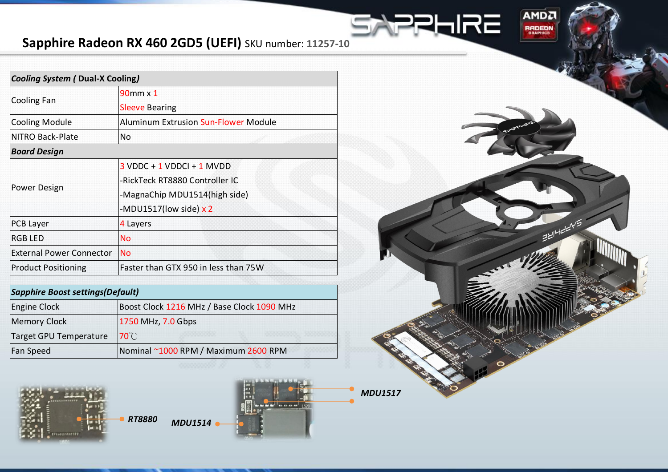# **Sapphire Radeon RX 460 2GD5 (UEFI)** SKU number: **11257-10**

| <b>Cooling System (Dual-X Cooling)</b> |                                             |
|----------------------------------------|---------------------------------------------|
| Cooling Fan                            | 90mm x 1                                    |
|                                        | <b>Sleeve Bearing</b>                       |
| <b>Cooling Module</b>                  | <b>Aluminum Extrusion Sun-Flower Module</b> |
| NITRO Back-Plate                       | No                                          |
| <b>Board Design</b>                    |                                             |
| Power Design                           | $3$ VDDC + 1 VDDCI + 1 MVDD                 |
|                                        | -RickTeck RT8880 Controller IC              |
|                                        | -MagnaChip MDU1514(high side)               |
|                                        | -MDU1517(low side) $x$ 2                    |
| <b>PCB Layer</b>                       | 4 Layers                                    |
| <b>RGB LED</b>                         | <b>No</b>                                   |
| <b>External Power Connector</b>        | <b>No</b>                                   |
| <b>Product Positioning</b>             | Faster than GTX 950 in less than 75W        |

| <b>Sapphire Boost settings (Default)</b> |                                            |
|------------------------------------------|--------------------------------------------|
| <b>Engine Clock</b>                      | Boost Clock 1216 MHz / Base Clock 1090 MHz |
| <b>Memory Clock</b>                      | 1750 MHz, 7.0 Gbps                         |
| Target GPU Temperature                   | $70^{\circ}$ C                             |
| Fan Speed                                | Nominal ~1000 RPM / Maximum 2600 RPM       |



*RT8880 MDU1514*



*MDU1517*

57

AMDA

**RADEON** 

ENIHEEYS

**SHIRE**